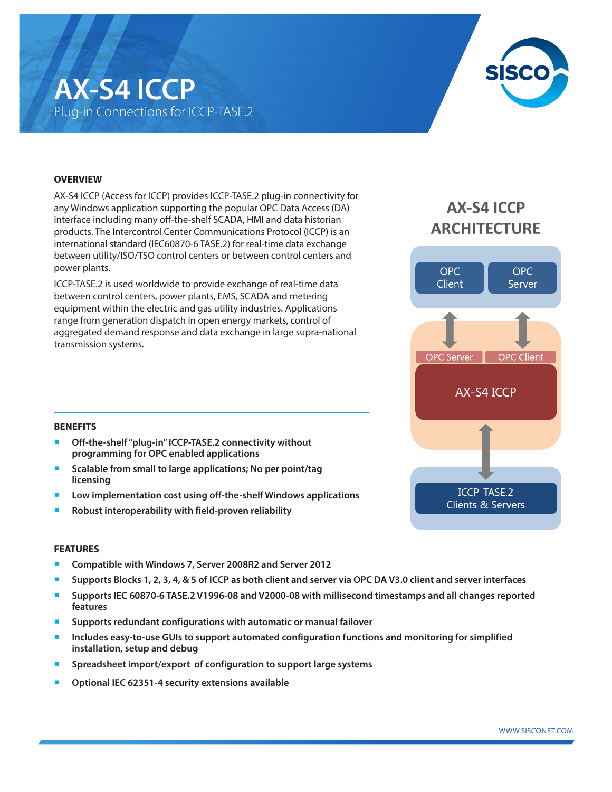## **AX-S4 ICCP** Plug-in Connections for ICCP-TASE.2



#### **OVERVIEW**

AX-S4 ICCP (Access for ICCP) provides ICCP-TASE.2 plug-in connectivity for any Windows application supporting the popular OPC Data Access (DA) interface including many off-the-shelf SCADA, HMI and data historian products. The Intercontrol Center Communications Protocol (ICCP) is an international standard (IEC60870-6 TASE.2) for real-time data exchange between utility/ISO/TSO control centers or between control centers and power plants.

ICCP-TASE.2 is used worldwide to provide exchange of real-time data between control centers, power plants, EMS, SCADA and metering equipment within the electric and gas utility industries. Applications range from generation dispatch in open energy markets, control of aggregated demand response and data exchange in large supra-national transmission systems.

### **AX-S4 ICCP ARCHITECTURE**



#### **BENEFITS**

- Off-the-shelf "plug-in" ICCP-TASE.2 connectivity without **programming for OPC enabled applications**
- Scalable from small to large applications; No per point/tag **licensing**
- Low implementation cost using off-the-shelf Windows applications
- ¡ **Robust interoperability with field-proven reliability**

#### **FEATURES**

- ¡ **Compatible with Windows 7, Server 2008R2 and Server 2012**
- ¡ **Supports Blocks 1, 2, 3, 4, & 5 of ICCP as both client and server via OPC DA V3.0 client and server interfaces**
- ¡ **Supports IEC 60870-6 TASE.2 V1996-08 and V2000-08 with millisecond timestamps and all changes reported features**
- ¡ **Supports redundant configurations with automatic or manual failover**
- **Includes easy-to-use GUIs to support automated configuration functions and monitoring for simplified installation, setup and debug**
- ¡ **Spreadsheet import/export of configuration to support large systems**
- ¡ **Optional IEC 62351-4 security extensions available**